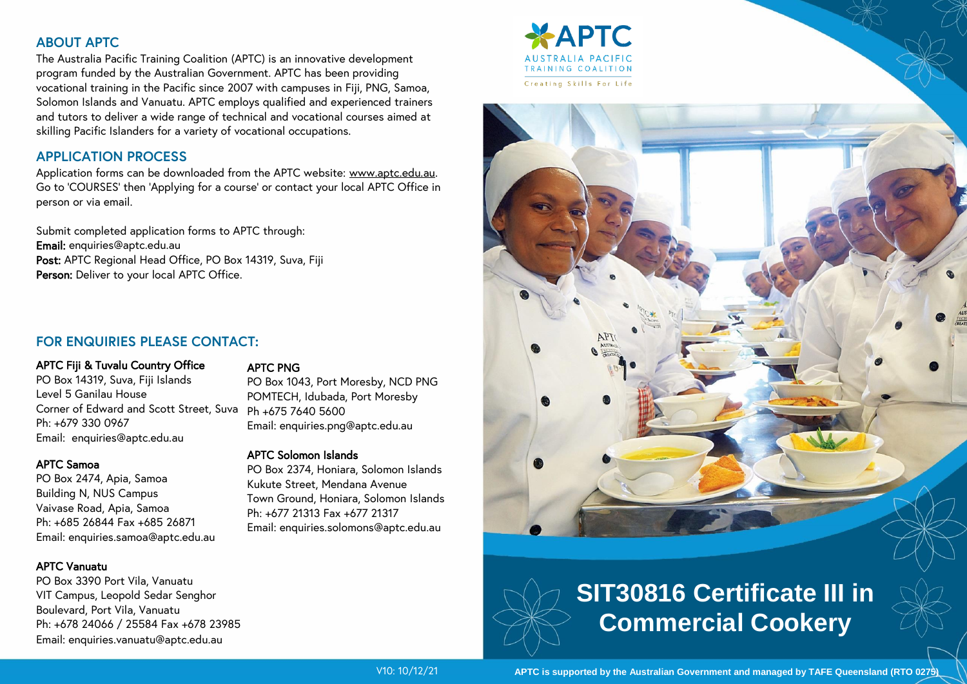## **ABOUT APTC**

The Australia Pacific Training Coalition (APTC) is an innovative development program funded by the Australian Government. APTC has been providing vocational training in the Pacific since 2007 with campuses in Fiji, PNG, Samoa, Solomon Islands and Vanuatu. APTC employs qualified and experienced trainers and tutors to deliver a wide range of technical and vocational courses aimed at skilling Pacific Islanders for a variety of vocational occupations.

## **APPLICATION PROCESS**

Application forms can be downloaded from the APTC website: www.aptc.edu.au. Go to 'COURSES' then 'Applying for a course' or contact your local APTC Office in person or via email.

Submit completed application forms to APTC through: Email: enquiries@aptc.edu.au Post: APTC Regional Head Office, PO Box 14319, Suva, Fiji Person: Deliver to your local APTC Office.

## **FOR ENQUIRIES PLEASE CONTACT:**

#### APTC Fiji & Tuvalu Country Office

PO Box 14319, Suva, Fiji Islands Level 5 Ganilau House Corner of Edward and Scott Street, Suva Ph +675 7640 5600 Ph: +679 330 0967 Email: enquiries@aptc.edu.au

#### APTC Samoa

PO Box 2474, Apia, Samoa Building N, NUS Campus Vaivase Road, Apia, Samoa Ph: +685 26844 Fax +685 26871 Email: enquiries.samoa@aptc.edu.au

#### APTC Vanuatu

PO Box 3390 Port Vila, Vanuatu VIT Campus, Leopold Sedar Senghor Boulevard, Port Vila, Vanuatu Ph: +678 24066 / 25584 Fax +678 23985 Email: enquiries.vanuatu@aptc.edu.au

#### APTC PNG

PO Box 1043, Port Moresby, NCD PNG POMTECH, Idubada, Port Moresby Email: enquiries.png@aptc.edu.au

#### APTC Solomon Islands

PO Box 2374, Honiara, Solomon Islands Kukute Street, Mendana Avenue Town Ground, Honiara, Solomon Islands Ph: +677 21313 Fax +677 21317 Email: enquiries.solomons@aptc.edu.au



# **SIT30816 Certificate III in Commercial Cookery**

V10: 10/12/21

**APTC is supported by the Australian Government and managed by TAFE Queensland (RTO 0275)**